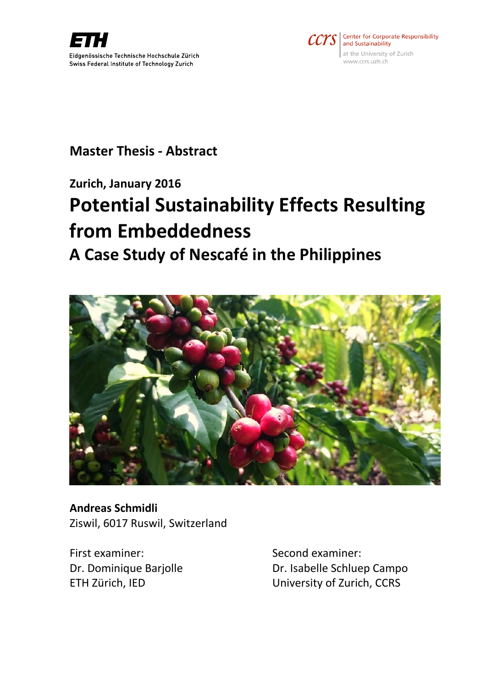



### **Master Thesis - Abstract**

### **Zurich, January 2016**

# **Potential Sustainability Effects Resulting from Embeddedness**

## **A Case Study of Nescafé in the Philippines**



**Andreas Schmidli** Ziswil, 6017 Ruswil, Switzerland

First examiner: Second examiner:

Dr. Dominique Barjolle **Dr. Isabelle Schluep Campo** ETH Zürich, IED University of Zurich, CCRS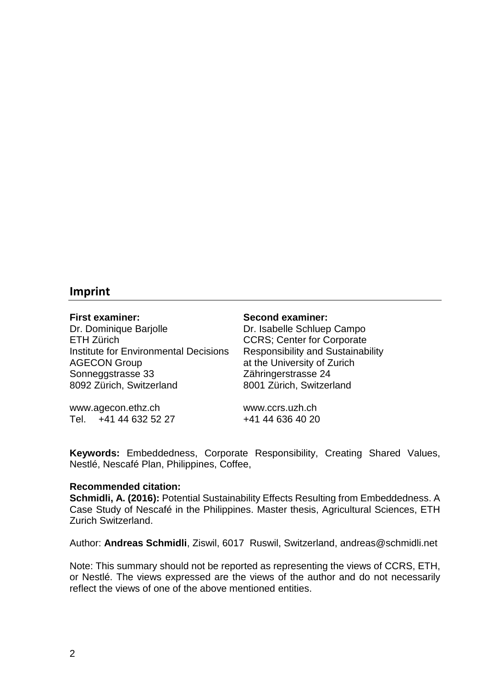### **Imprint**

Dr. Dominique Barjolle **Dr. Isabelle Schluep Campo** ETH Zürich CCRS; Center for Corporate Institute for Environmental Decisions Responsibility and Sustainability AGECON Group at the University of Zurich Sonneggstrasse 33 Zähringerstrasse 24 8092 Zürich, Switzerland 8001 Zürich, Switzerland

www.agecon.ethz.ch www.ccrs.uzh.ch Tel. +41 44 632 52 27 +41 44 636 40 20

**First examiner: Second examiner:**

**Keywords:** Embeddedness, Corporate Responsibility, Creating Shared Values, Nestlé, Nescafé Plan, Philippines, Coffee,

#### **Recommended citation:**

**Schmidli, A. (2016):** Potential Sustainability Effects Resulting from Embeddedness. A Case Study of Nescafé in the Philippines. Master thesis, Agricultural Sciences, ETH Zurich Switzerland.

Author: **Andreas Schmidli**, Ziswil, 6017 Ruswil, Switzerland, andreas@schmidli.net

Note: This summary should not be reported as representing the views of CCRS, ETH, or Nestlé. The views expressed are the views of the author and do not necessarily reflect the views of one of the above mentioned entities.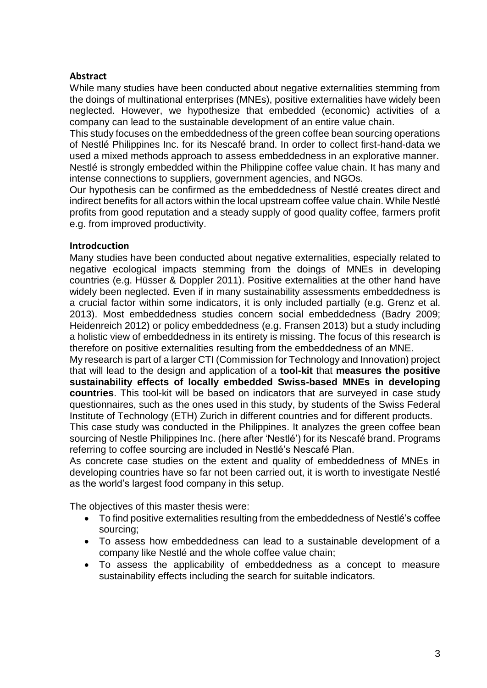#### **Abstract**

While many studies have been conducted about negative externalities stemming from the doings of multinational enterprises (MNEs), positive externalities have widely been neglected. However, we hypothesize that embedded (economic) activities of a company can lead to the sustainable development of an entire value chain.

This study focuses on the embeddedness of the green coffee bean sourcing operations of Nestlé Philippines Inc. for its Nescafé brand. In order to collect first-hand-data we used a mixed methods approach to assess embeddedness in an explorative manner. Nestlé is strongly embedded within the Philippine coffee value chain. It has many and intense connections to suppliers, government agencies, and NGOs.

Our hypothesis can be confirmed as the embeddedness of Nestlé creates direct and indirect benefits for all actors within the local upstream coffee value chain. While Nestlé profits from good reputation and a steady supply of good quality coffee, farmers profit e.g. from improved productivity.

#### **Introdcuction**

Many studies have been conducted about negative externalities, especially related to negative ecological impacts stemming from the doings of MNEs in developing countries (e.g. Hüsser & Doppler 2011). Positive externalities at the other hand have widely been neglected. Even if in many sustainability assessments embeddedness is a crucial factor within some indicators, it is only included partially (e.g. Grenz et al. 2013). Most embeddedness studies concern social embeddedness (Badry 2009; Heidenreich 2012) or policy embeddedness (e.g. Fransen 2013) but a study including a holistic view of embeddedness in its entirety is missing. The focus of this research is therefore on positive externalities resulting from the embeddedness of an MNE.

My research is part of a larger CTI (Commission for Technology and Innovation) project that will lead to the design and application of a **tool-kit** that **measures the positive sustainability effects of locally embedded Swiss-based MNEs in developing countries**. This tool-kit will be based on indicators that are surveyed in case study questionnaires, such as the ones used in this study, by students of the Swiss Federal Institute of Technology (ETH) Zurich in different countries and for different products.

This case study was conducted in the Philippines. It analyzes the green coffee bean sourcing of Nestle Philippines Inc. (here after 'Nestlé') for its Nescafé brand. Programs referring to coffee sourcing are included in Nestlé's Nescafé Plan.

As concrete case studies on the extent and quality of embeddedness of MNEs in developing countries have so far not been carried out, it is worth to investigate Nestlé as the world's largest food company in this setup.

The objectives of this master thesis were:

- To find positive externalities resulting from the embeddedness of Nestlé's coffee sourcing;
- To assess how embeddedness can lead to a sustainable development of a company like Nestlé and the whole coffee value chain;
- To assess the applicability of embeddedness as a concept to measure sustainability effects including the search for suitable indicators.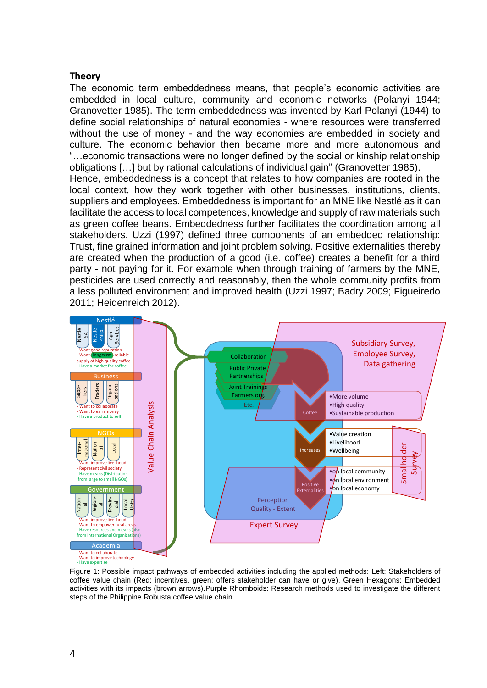#### **Theory**

The economic term embeddedness means, that people's economic activities are embedded in local culture, community and economic networks (Polanyi 1944; Granovetter 1985). The term embeddedness was invented by Karl Polanyi (1944) to define social relationships of natural economies - where resources were transferred without the use of money - and the way economies are embedded in society and culture. The economic behavior then became more and more autonomous and "…economic transactions were no longer defined by the social or kinship relationship obligations […] but by rational calculations of individual gain" (Granovetter 1985). Hence, embeddedness is a concept that relates to how companies are rooted in the local context, how they work together with other businesses, institutions, clients, suppliers and employees. Embeddedness is important for an MNE like Nestlé as it can facilitate the access to local competences, knowledge and supply of raw materials such as green coffee beans. Embeddedness further facilitates the coordination among all stakeholders. Uzzi (1997) defined three components of an embedded relationship: Trust, fine grained information and joint problem solving. Positive externalities thereby are created when the production of a good (i.e. coffee) creates a benefit for a third party - not paying for it. For example when through training of farmers by the MNE, pesticides are used correctly and reasonably, then the whole community profits from a less polluted environment and improved health (Uzzi 1997; Badry 2009; Figueiredo 2011; Heidenreich 2012).



- Want to improve technology - Have expertise

<span id="page-3-0"></span>Figure 1: Possible impact pathways of embedded activities including the applied methods: Left: Stakeholders of coffee value chain (Red: incentives, green: offers stakeholder can have or give). Green Hexagons: Embedded activities with its impacts (brown arrows).Purple Rhomboids: Research methods used to investigate the different steps of the Philippine Robusta coffee value chain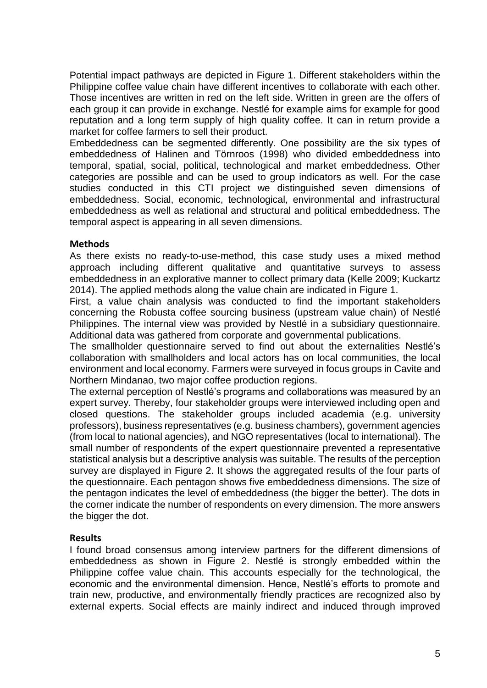Potential impact pathways are depicted in [Figure 1.](#page-3-0) Different stakeholders within the Philippine coffee value chain have different incentives to collaborate with each other. Those incentives are written in red on the left side. Written in green are the offers of each group it can provide in exchange. Nestlé for example aims for example for good reputation and a long term supply of high quality coffee. It can in return provide a market for coffee farmers to sell their product.

Embeddedness can be segmented differently. One possibility are the six types of embeddedness of Halinen and Törnroos (1998) who divided embeddedness into temporal, spatial, social, political, technological and market embeddedness. Other categories are possible and can be used to group indicators as well. For the case studies conducted in this CTI project we distinguished seven dimensions of embeddedness. Social, economic, technological, environmental and infrastructural embeddedness as well as relational and structural and political embeddedness. The temporal aspect is appearing in all seven dimensions.

#### **Methods**

As there exists no ready-to-use-method, this case study uses a mixed method approach including different qualitative and quantitative surveys to assess embeddedness in an explorative manner to collect primary data (Kelle 2009; Kuckartz 2014). The applied methods along the value chain are indicated in [Figure 1.](#page-3-0)

First, a value chain analysis was conducted to find the important stakeholders concerning the Robusta coffee sourcing business (upstream value chain) of Nestlé Philippines. The internal view was provided by Nestlé in a subsidiary questionnaire. Additional data was gathered from corporate and governmental publications.

The smallholder questionnaire served to find out about the externalities Nestlé's collaboration with smallholders and local actors has on local communities, the local environment and local economy. Farmers were surveyed in focus groups in Cavite and Northern Mindanao, two major coffee production regions.

The external perception of Nestlé's programs and collaborations was measured by an expert survey. Thereby, four stakeholder groups were interviewed including open and closed questions. The stakeholder groups included academia (e.g. university professors), business representatives (e.g. business chambers), government agencies (from local to national agencies), and NGO representatives (local to international). The small number of respondents of the expert questionnaire prevented a representative statistical analysis but a descriptive analysis was suitable. The results of the perception survey are displayed in [Figure 2.](#page-5-0) It shows the aggregated results of the four parts of the questionnaire. Each pentagon shows five embeddedness dimensions. The size of the pentagon indicates the level of embeddedness (the bigger the better). The dots in the corner indicate the number of respondents on every dimension. The more answers the bigger the dot.

#### **Results**

I found broad consensus among interview partners for the different dimensions of embeddedness as shown in [Figure 2.](#page-5-0) Nestlé is strongly embedded within the Philippine coffee value chain. This accounts especially for the technological, the economic and the environmental dimension. Hence, Nestlé's efforts to promote and train new, productive, and environmentally friendly practices are recognized also by external experts. Social effects are mainly indirect and induced through improved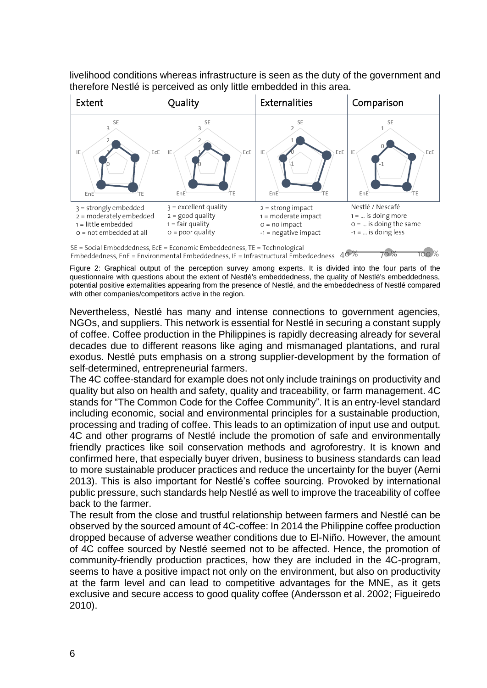livelihood conditions whereas infrastructure is seen as the duty of the government and therefore Nestlé is perceived as only little embedded in this area.



Embeddedness, EnE = Environmental Embeddedness, IE = Infrastructural Embeddedness 40 % 70 % 700 %

<span id="page-5-0"></span>Figure 2: Graphical output of the perception survey among experts. It is divided into the four parts of the questionnaire with questions about the extent of Nestlé's embeddedness, the quality of Nestlé's embeddedness, potential positive externalities appearing from the presence of Nestlé, and the embeddedness of Nestlé compared with other companies/competitors active in the region.

Nevertheless, Nestlé has many and intense connections to government agencies, NGOs, and suppliers. This network is essential for Nestlé in securing a constant supply of coffee. Coffee production in the Philippines is rapidly decreasing already for several decades due to different reasons like aging and mismanaged plantations, and rural exodus. Nestlé puts emphasis on a strong supplier-development by the formation of self-determined, entrepreneurial farmers.

The 4C coffee-standard for example does not only include trainings on productivity and quality but also on health and safety, quality and traceability, or farm management. 4C stands for "The Common Code for the Coffee Community". It is an entry-level standard including economic, social and environmental principles for a sustainable production, processing and trading of coffee. This leads to an optimization of input use and output. 4C and other programs of Nestlé include the promotion of safe and environmentally friendly practices like soil conservation methods and agroforestry. It is known and confirmed here, that especially buyer driven, business to business standards can lead to more sustainable producer practices and reduce the uncertainty for the buyer (Aerni 2013). This is also important for Nestlé's coffee sourcing. Provoked by international public pressure, such standards help Nestlé as well to improve the traceability of coffee back to the farmer.

The result from the close and trustful relationship between farmers and Nestlé can be observed by the sourced amount of 4C-coffee: In 2014 the Philippine coffee production dropped because of adverse weather conditions due to El-Niño. However, the amount of 4C coffee sourced by Nestlé seemed not to be affected. Hence, the promotion of community-friendly production practices, how they are included in the 4C-program, seems to have a positive impact not only on the environment, but also on productivity at the farm level and can lead to competitive advantages for the MNE, as it gets exclusive and secure access to good quality coffee (Andersson et al. 2002; Figueiredo 2010).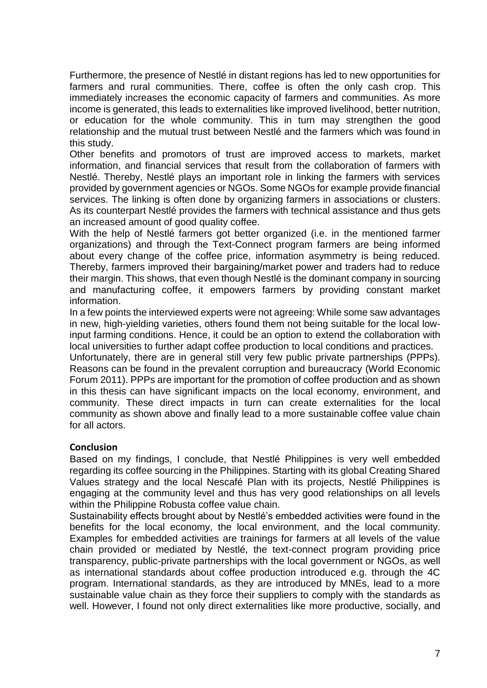Furthermore, the presence of Nestlé in distant regions has led to new opportunities for farmers and rural communities. There, coffee is often the only cash crop. This immediately increases the economic capacity of farmers and communities. As more income is generated, this leads to externalities like improved livelihood, better nutrition, or education for the whole community. This in turn may strengthen the good relationship and the mutual trust between Nestlé and the farmers which was found in this study.

Other benefits and promotors of trust are improved access to markets, market information, and financial services that result from the collaboration of farmers with Nestlé. Thereby, Nestlé plays an important role in linking the farmers with services provided by government agencies or NGOs. Some NGOs for example provide financial services. The linking is often done by organizing farmers in associations or clusters. As its counterpart Nestlé provides the farmers with technical assistance and thus gets an increased amount of good quality coffee.

With the help of Nestlé farmers got better organized (i.e. in the mentioned farmer organizations) and through the Text-Connect program farmers are being informed about every change of the coffee price, information asymmetry is being reduced. Thereby, farmers improved their bargaining/market power and traders had to reduce their margin. This shows, that even though Nestlé is the dominant company in sourcing and manufacturing coffee, it empowers farmers by providing constant market information.

In a few points the interviewed experts were not agreeing: While some saw advantages in new, high-yielding varieties, others found them not being suitable for the local lowinput farming conditions. Hence, it could be an option to extend the collaboration with local universities to further adapt coffee production to local conditions and practices.

Unfortunately, there are in general still very few public private partnerships (PPPs). Reasons can be found in the prevalent corruption and bureaucracy (World Economic Forum 2011). PPPs are important for the promotion of coffee production and as shown in this thesis can have significant impacts on the local economy, environment, and community. These direct impacts in turn can create externalities for the local community as shown above and finally lead to a more sustainable coffee value chain for all actors.

#### **Conclusion**

Based on my findings, I conclude, that Nestlé Philippines is very well embedded regarding its coffee sourcing in the Philippines. Starting with its global Creating Shared Values strategy and the local Nescafé Plan with its projects, Nestlé Philippines is engaging at the community level and thus has very good relationships on all levels within the Philippine Robusta coffee value chain.

Sustainability effects brought about by Nestlé's embedded activities were found in the benefits for the local economy, the local environment, and the local community. Examples for embedded activities are trainings for farmers at all levels of the value chain provided or mediated by Nestlé, the text-connect program providing price transparency, public-private partnerships with the local government or NGOs, as well as international standards about coffee production introduced e.g. through the 4C program. International standards, as they are introduced by MNEs, lead to a more sustainable value chain as they force their suppliers to comply with the standards as well. However, I found not only direct externalities like more productive, socially, and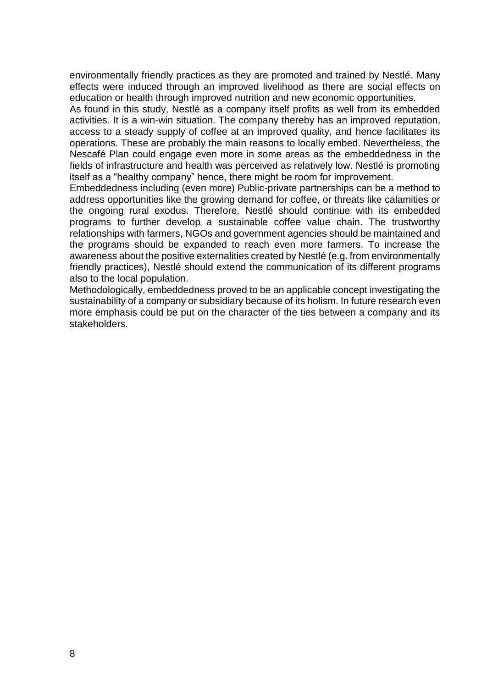environmentally friendly practices as they are promoted and trained by Nestlé. Many effects were induced through an improved livelihood as there are social effects on education or health through improved nutrition and new economic opportunities.

As found in this study, Nestlé as a company itself profits as well from its embedded activities. It is a win-win situation. The company thereby has an improved reputation, access to a steady supply of coffee at an improved quality, and hence facilitates its operations. These are probably the main reasons to locally embed. Nevertheless, the Nescafé Plan could engage even more in some areas as the embeddedness in the fields of infrastructure and health was perceived as relatively low. Nestlé is promoting itself as a "healthy company" hence, there might be room for improvement.

Embeddedness including (even more) Public-private partnerships can be a method to address opportunities like the growing demand for coffee, or threats like calamities or the ongoing rural exodus. Therefore, Nestlé should continue with its embedded programs to further develop a sustainable coffee value chain. The trustworthy relationships with farmers, NGOs and government agencies should be maintained and the programs should be expanded to reach even more farmers. To increase the awareness about the positive externalities created by Nestlé (e.g. from environmentally friendly practices), Nestlé should extend the communication of its different programs also to the local population.

Methodologically, embeddedness proved to be an applicable concept investigating the sustainability of a company or subsidiary because of its holism. In future research even more emphasis could be put on the character of the ties between a company and its stakeholders.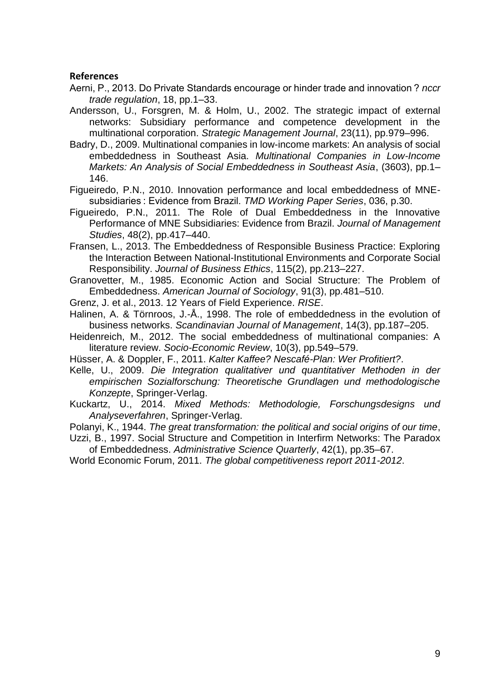#### **References**

- Aerni, P., 2013. Do Private Standards encourage or hinder trade and innovation ? *nccr trade regulation*, 18, pp.1–33.
- Andersson, U., Forsgren, M. & Holm, U., 2002. The strategic impact of external networks: Subsidiary performance and competence development in the multinational corporation. *Strategic Management Journal*, 23(11), pp.979–996.
- Badry, D., 2009. Multinational companies in low-income markets: An analysis of social embeddedness in Southeast Asia. *Multinational Companies in Low-Income Markets: An Analysis of Social Embeddedness in Southeast Asia*, (3603), pp.1– 146.
- Figueiredo, P.N., 2010. Innovation performance and local embeddedness of MNEsubsidiaries : Evidence from Brazil. *TMD Working Paper Series*, 036, p.30.
- Figueiredo, P.N., 2011. The Role of Dual Embeddedness in the Innovative Performance of MNE Subsidiaries: Evidence from Brazil. *Journal of Management Studies*, 48(2), pp.417–440.
- Fransen, L., 2013. The Embeddedness of Responsible Business Practice: Exploring the Interaction Between National-Institutional Environments and Corporate Social Responsibility. *Journal of Business Ethics*, 115(2), pp.213–227.
- Granovetter, M., 1985. Economic Action and Social Structure: The Problem of Embeddedness. *American Journal of Sociology*, 91(3), pp.481–510.
- Grenz, J. et al., 2013. 12 Years of Field Experience. *RISE*.
- Halinen, A. & Törnroos, J.-Å., 1998. The role of embeddedness in the evolution of business networks. *Scandinavian Journal of Management*, 14(3), pp.187–205.
- Heidenreich, M., 2012. The social embeddedness of multinational companies: A literature review. *Socio-Economic Review*, 10(3), pp.549–579.
- Hüsser, A. & Doppler, F., 2011. *Kalter Kaffee? Nescafé-Plan: Wer Profitiert?*.
- Kelle, U., 2009. *Die Integration qualitativer und quantitativer Methoden in der empirischen Sozialforschung: Theoretische Grundlagen und methodologische Konzepte*, Springer-Verlag.
- Kuckartz, U., 2014. *Mixed Methods: Methodologie, Forschungsdesigns und Analyseverfahren*, Springer-Verlag.
- Polanyi, K., 1944. *The great transformation: the political and social origins of our time*,
- Uzzi, B., 1997. Social Structure and Competition in Interfirm Networks: The Paradox of Embeddedness. *Administrative Science Quarterly*, 42(1), pp.35–67.
- World Economic Forum, 2011. *The global competitiveness report 2011-2012*.